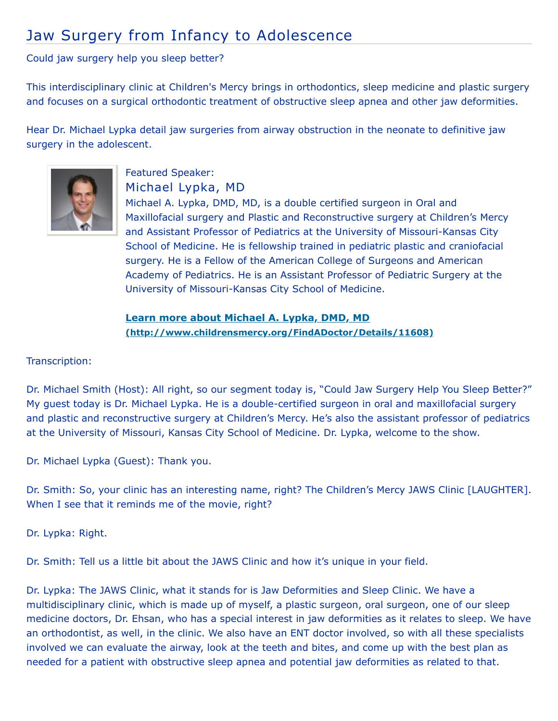## Jaw Surgery from Infancy to Adolescence

Could jaw surgery help you sleep better?

This interdisciplinary clinic at Children's Mercy brings in orthodontics, sleep medicine and plastic surgery and focuses on a surgical orthodontic treatment of obstructive sleep apnea and other jaw deformities.

Hear Dr. Michael Lypka detail jaw surgeries from airway obstruction in the neonate to definitive jaw surgery in the adolescent.



## Featured Speaker: Michael Lypka, MD

Michael A. Lypka, DMD, MD, is a double certified surgeon in Oral and Maxillofacial surgery and Plastic and Reconstructive surgery at Children's Mercy and Assistant Professor of Pediatrics at the University of Missouri-Kansas City School of Medicine. He is fellowship trained in pediatric plastic and craniofacial surgery. He is a Fellow of the American College of Surgeons and American Academy of Pediatrics. He is an Assistant Professor of Pediatric Surgery at the University of Missouri-Kansas City School of Medicine.

**Learn more about Michael A. Lypka, DMD, MD [\(http://www.childrensmercy.org/FindADoctor/Details/11608\)](http://www.childrensmercy.org/FindADoctor/Details/11608)**

Transcription:

Dr. Michael Smith (Host): All right, so our segment today is, "Could Jaw Surgery Help You Sleep Better?" My guest today is Dr. Michael Lypka. He is a double-certified surgeon in oral and maxillofacial surgery and plastic and reconstructive surgery at Children's Mercy. He's also the assistant professor of pediatrics at the University of Missouri, Kansas City School of Medicine. Dr. Lypka, welcome to the show.

Dr. Michael Lypka (Guest): Thank you.

Dr. Smith: So, your clinic has an interesting name, right? The Children's Mercy JAWS Clinic [LAUGHTER]. When I see that it reminds me of the movie, right?

Dr. Lypka: Right.

Dr. Smith: Tell us a little bit about the JAWS Clinic and how it's unique in your field.

Dr. Lypka: The JAWS Clinic, what it stands for is Jaw Deformities and Sleep Clinic. We have a multidisciplinary clinic, which is made up of myself, a plastic surgeon, oral surgeon, one of our sleep medicine doctors, Dr. Ehsan, who has a special interest in jaw deformities as it relates to sleep. We have an orthodontist, as well, in the clinic. We also have an ENT doctor involved, so with all these specialists involved we can evaluate the airway, look at the teeth and bites, and come up with the best plan as needed for a patient with obstructive sleep apnea and potential jaw deformities as related to that.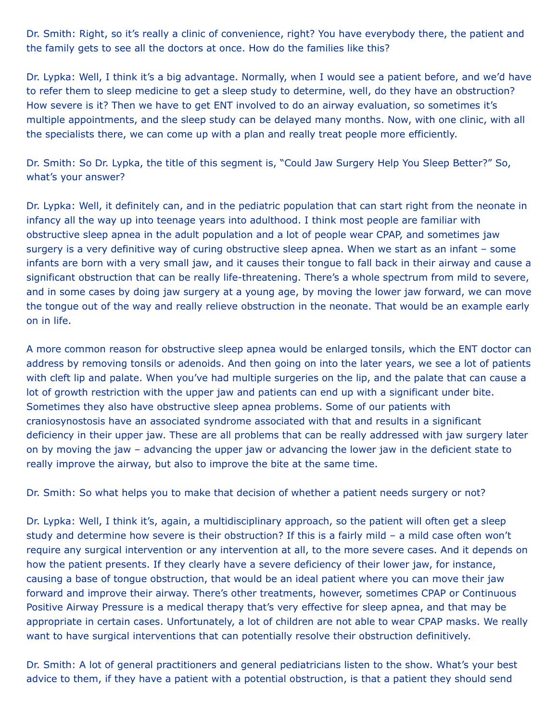Dr. Smith: Right, so it's really a clinic of convenience, right? You have everybody there, the patient and the family gets to see all the doctors at once. How do the families like this?

Dr. Lypka: Well, I think it's a big advantage. Normally, when I would see a patient before, and we'd have to refer them to sleep medicine to get a sleep study to determine, well, do they have an obstruction? How severe is it? Then we have to get ENT involved to do an airway evaluation, so sometimes it's multiple appointments, and the sleep study can be delayed many months. Now, with one clinic, with all the specialists there, we can come up with a plan and really treat people more efficiently.

Dr. Smith: So Dr. Lypka, the title of this segment is, "Could Jaw Surgery Help You Sleep Better?" So, what's your answer?

Dr. Lypka: Well, it definitely can, and in the pediatric population that can start right from the neonate in infancy all the way up into teenage years into adulthood. I think most people are familiar with obstructive sleep apnea in the adult population and a lot of people wear CPAP, and sometimes jaw surgery is a very definitive way of curing obstructive sleep apnea. When we start as an infant – some infants are born with a very small jaw, and it causes their tongue to fall back in their airway and cause a significant obstruction that can be really life-threatening. There's a whole spectrum from mild to severe, and in some cases by doing jaw surgery at a young age, by moving the lower jaw forward, we can move the tongue out of the way and really relieve obstruction in the neonate. That would be an example early on in life.

A more common reason for obstructive sleep apnea would be enlarged tonsils, which the ENT doctor can address by removing tonsils or adenoids. And then going on into the later years, we see a lot of patients with cleft lip and palate. When you've had multiple surgeries on the lip, and the palate that can cause a lot of growth restriction with the upper jaw and patients can end up with a significant under bite. Sometimes they also have obstructive sleep apnea problems. Some of our patients with craniosynostosis have an associated syndrome associated with that and results in a significant deficiency in their upper jaw. These are all problems that can be really addressed with jaw surgery later on by moving the jaw – advancing the upper jaw or advancing the lower jaw in the deficient state to really improve the airway, but also to improve the bite at the same time.

Dr. Smith: So what helps you to make that decision of whether a patient needs surgery or not?

Dr. Lypka: Well, I think it's, again, a multidisciplinary approach, so the patient will often get a sleep study and determine how severe is their obstruction? If this is a fairly mild – a mild case often won't require any surgical intervention or any intervention at all, to the more severe cases. And it depends on how the patient presents. If they clearly have a severe deficiency of their lower jaw, for instance, causing a base of tongue obstruction, that would be an ideal patient where you can move their jaw forward and improve their airway. There's other treatments, however, sometimes CPAP or Continuous Positive Airway Pressure is a medical therapy that's very effective for sleep apnea, and that may be appropriate in certain cases. Unfortunately, a lot of children are not able to wear CPAP masks. We really want to have surgical interventions that can potentially resolve their obstruction definitively.

Dr. Smith: A lot of general practitioners and general pediatricians listen to the show. What's your best advice to them, if they have a patient with a potential obstruction, is that a patient they should send